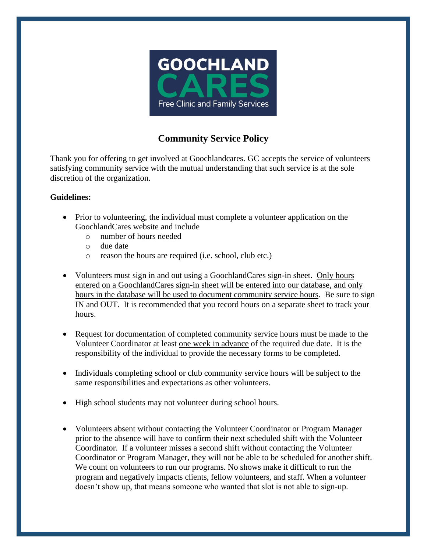

## **Community Service Policy**

Thank you for offering to get involved at Goochlandcares. GC accepts the service of volunteers satisfying community service with the mutual understanding that such service is at the sole discretion of the organization.

## **Guidelines:**

- Prior to volunteering, the individual must complete a volunteer application on the GoochlandCares website and include
	- o number of hours needed
	- o due date
	- o reason the hours are required (i.e. school, club etc.)
- Volunteers must sign in and out using a GoochlandCares sign-in sheet. Only hours entered on a GoochlandCares sign-in sheet will be entered into our database, and only hours in the database will be used to document community service hours. Be sure to sign IN and OUT. It is recommended that you record hours on a separate sheet to track your hours.
- Request for documentation of completed community service hours must be made to the Volunteer Coordinator at least one week in advance of the required due date. It is the responsibility of the individual to provide the necessary forms to be completed.
- Individuals completing school or club community service hours will be subject to the same responsibilities and expectations as other volunteers.
- High school students may not volunteer during school hours.
- Volunteers absent without contacting the Volunteer Coordinator or Program Manager prior to the absence will have to confirm their next scheduled shift with the Volunteer Coordinator. If a volunteer misses a second shift without contacting the Volunteer Coordinator or Program Manager, they will not be able to be scheduled for another shift. We count on volunteers to run our programs. No shows make it difficult to run the program and negatively impacts clients, fellow volunteers, and staff. When a volunteer doesn't show up, that means someone who wanted that slot is not able to sign-up.